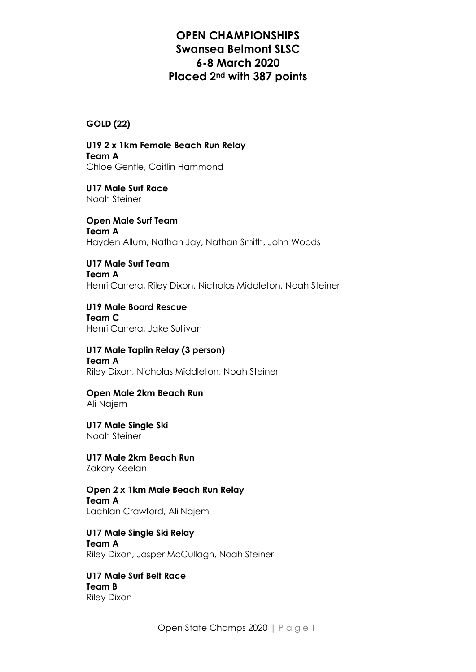#### **GOLD (22)**

**U19 2 x 1km Female Beach Run Relay Team A** Chloe Gentle, Caitlin Hammond

**U17 Male Surf Race** Noah Steiner

**Open Male Surf Team Team A** Hayden Allum, Nathan Jay, Nathan Smith, John Woods

**U17 Male Surf Team Team A** Henri Carrera, Riley Dixon, Nicholas Middleton, Noah Steiner

**U19 Male Board Rescue Team C** Henri Carrera, Jake Sullivan

**U17 Male Taplin Relay (3 person) Team A** Riley Dixon, Nicholas Middleton, Noah Steiner

**Open Male 2km Beach Run** Ali Najem

**U17 Male Single Ski** Noah Steiner

**U17 Male 2km Beach Run** Zakary Keelan

**Open 2 x 1km Male Beach Run Relay Team A** Lachlan Crawford, Ali Najem

**U17 Male Single Ski Relay Team A** Riley Dixon, Jasper McCullagh, Noah Steiner

**U17 Male Surf Belt Race Team B** Riley Dixon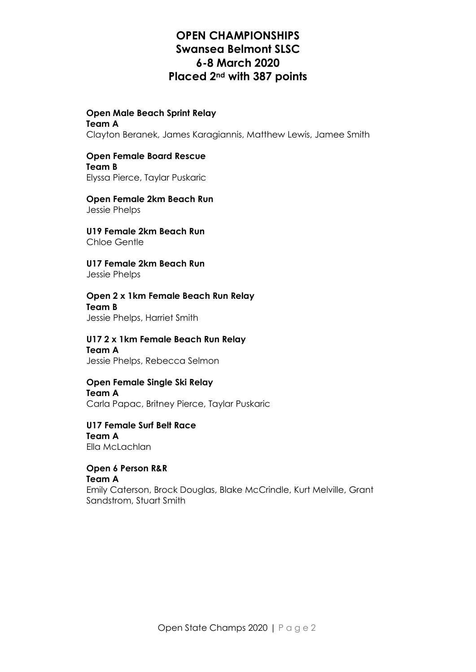#### **Open Male Beach Sprint Relay Team A**

Clayton Beranek, James Karagiannis, Matthew Lewis, Jamee Smith

### **Open Female Board Rescue Team B**

Elyssa Pierce, Taylar Puskaric

#### **Open Female 2km Beach Run** Jessie Phelps

**U19 Female 2km Beach Run** Chloe Gentle

**U17 Female 2km Beach Run** Jessie Phelps

**Open 2 x 1km Female Beach Run Relay Team B** Jessie Phelps, Harriet Smith

**U17 2 x 1km Female Beach Run Relay Team A** Jessie Phelps, Rebecca Selmon

#### **Open Female Single Ski Relay Team A** Carla Papac, Britney Pierce, Taylar Puskaric

### **U17 Female Surf Belt Race Team A** Ella McLachlan

**Open 6 Person R&R Team A** Emily Caterson, Brock Douglas, Blake McCrindle, Kurt Melville, Grant Sandstrom, Stuart Smith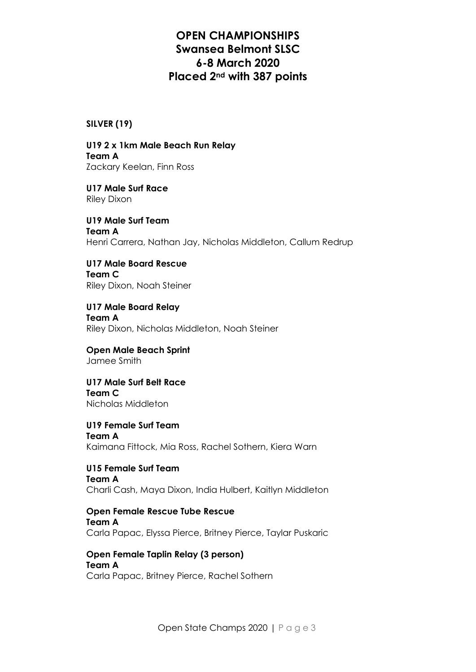#### **SILVER (19)**

**U19 2 x 1km Male Beach Run Relay Team A** Zackary Keelan, Finn Ross

**U17 Male Surf Race** Riley Dixon

**U19 Male Surf Team Team A** Henri Carrera, Nathan Jay, Nicholas Middleton, Callum Redrup

**U17 Male Board Rescue Team C** Riley Dixon, Noah Steiner

**U17 Male Board Relay Team A** Riley Dixon, Nicholas Middleton, Noah Steiner

**Open Male Beach Sprint** Jamee Smith

**U17 Male Surf Belt Race Team C** Nicholas Middleton

**U19 Female Surf Team Team A** Kaimana Fittock, Mia Ross, Rachel Sothern, Kiera Warn

**U15 Female Surf Team Team A** Charli Cash, Maya Dixon, India Hulbert, Kaitlyn Middleton

**Open Female Rescue Tube Rescue Team A** Carla Papac, Elyssa Pierce, Britney Pierce, Taylar Puskaric

**Open Female Taplin Relay (3 person) Team A** Carla Papac, Britney Pierce, Rachel Sothern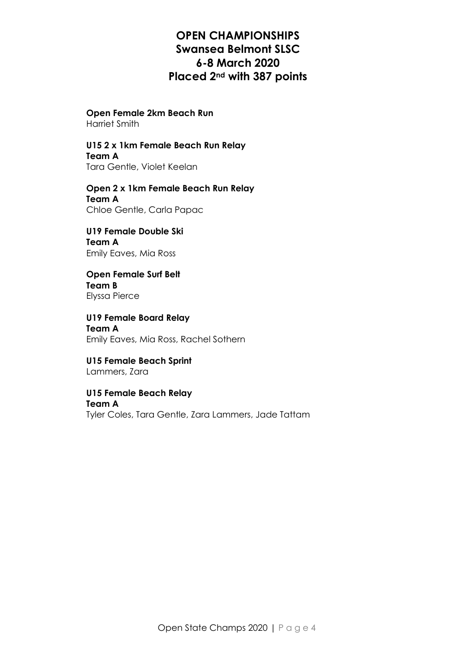### **Open Female 2km Beach Run**

Harriet Smith

# **U15 2 x 1km Female Beach Run Relay**

**Team A** Tara Gentle, Violet Keelan

### **Open 2 x 1km Female Beach Run Relay Team A** Chloe Gentle, Carla Papac

**U19 Female Double Ski Team A** Emily Eaves, Mia Ross

#### **Open Female Surf Belt Team B** Elyssa Pierce

**U19 Female Board Relay Team A** Emily Eaves, Mia Ross, Rachel Sothern

**U15 Female Beach Sprint** Lammers, Zara

#### **U15 Female Beach Relay Team A**

Tyler Coles, Tara Gentle, Zara Lammers, Jade Tattam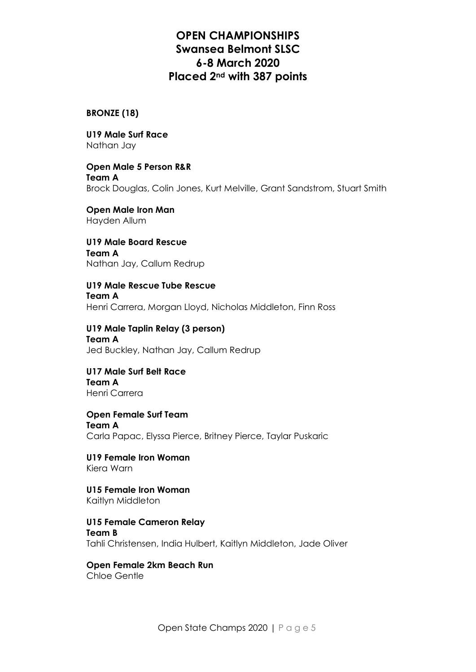### **BRONZE (18)**

**U19 Male Surf Race** Nathan Jay

**Open Male 5 Person R&R Team A** Brock Douglas, Colin Jones, Kurt Melville, Grant Sandstrom, Stuart Smith

**Open Male Iron Man** Hayden Allum

**U19 Male Board Rescue Team A** Nathan Jay, Callum Redrup

**U19 Male Rescue Tube Rescue Team A** Henri Carrera, Morgan Lloyd, Nicholas Middleton, Finn Ross

**U19 Male Taplin Relay (3 person) Team A** Jed Buckley, Nathan Jay, Callum Redrup

**U17 Male Surf Belt Race Team A** Henri Carrera

**Open Female Surf Team Team A** Carla Papac, Elyssa Pierce, Britney Pierce, Taylar Puskaric

**U19 Female Iron Woman** Kiera Warn

**U15 Female Iron Woman** Kaitlyn Middleton

**U15 Female Cameron Relay Team B** Tahli Christensen, India Hulbert, Kaitlyn Middleton, Jade Oliver

**Open Female 2km Beach Run** Chloe Gentle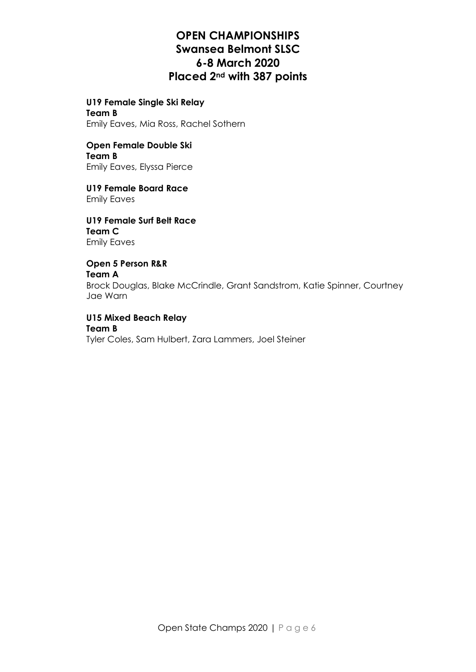**U19 Female Single Ski Relay Team B** Emily Eaves, Mia Ross, Rachel Sothern

**Open Female Double Ski Team B**

Emily Eaves, Elyssa Pierce

**U19 Female Board Race** Emily Eaves

**U19 Female Surf Belt Race Team C** Emily Eaves

**Open 5 Person R&R Team A** Brock Douglas, Blake McCrindle, Grant Sandstrom, Katie Spinner, Courtney Jae Warn

**U15 Mixed Beach Relay Team B** Tyler Coles, Sam Hulbert, Zara Lammers, Joel Steiner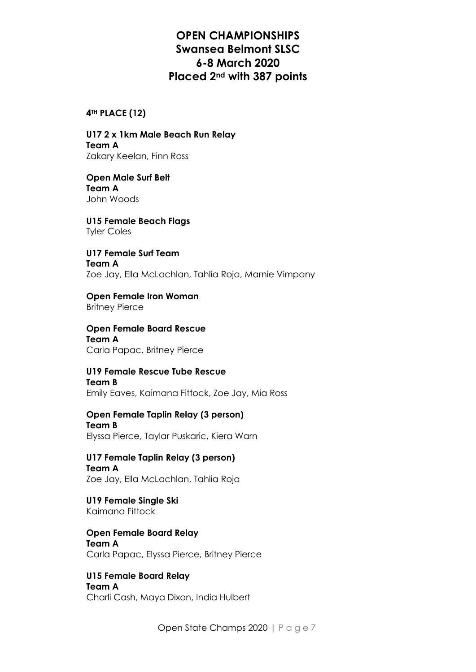#### **4TH PLACE (12)**

**U17 2 x 1km Male Beach Run Relay Team A** Zakary Keelan, Finn Ross

**Open Male Surf Belt Team A** John Woods

**U15 Female Beach Flags** Tyler Coles

**U17 Female Surf Team Team A** Zoe Jay, Ella McLachlan, Tahlia Roja, Marnie Vimpany

**Open Female Iron Woman** Britney Pierce

**Open Female Board Rescue Team A** Carla Papac, Britney Pierce

**U19 Female Rescue Tube Rescue Team B** Emily Eaves, Kaimana Fittock, Zoe Jay, Mia Ross

**Open Female Taplin Relay (3 person) Team B** Elyssa Pierce, Taylar Puskaric, Kiera Warn

**U17 Female Taplin Relay (3 person) Team A** Zoe Jay, Ella McLachlan, Tahlia Roja

**U19 Female Single Ski** Kaimana Fittock

**Open Female Board Relay Team A** Carla Papac, Elyssa Pierce, Britney Pierce

**U15 Female Board Relay Team A** Charli Cash, Maya Dixon, India Hulbert

Open State Champs 2020 | Page 7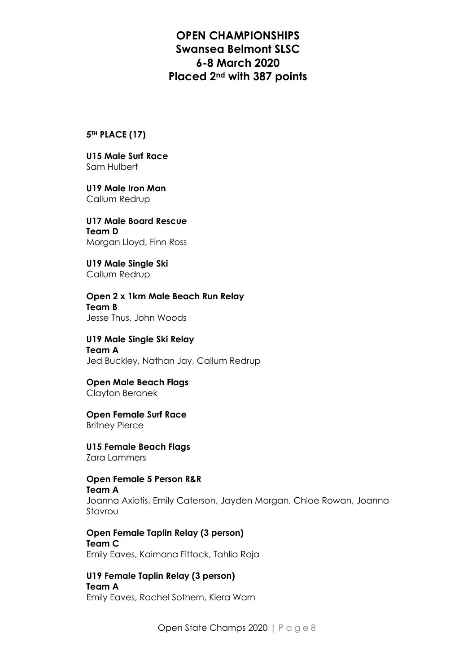#### **5TH PLACE (17)**

**U15 Male Surf Race** Sam Hulbert

**U19 Male Iron Man** Callum Redrup

**U17 Male Board Rescue Team D** Morgan Lloyd, Finn Ross

**U19 Male Single Ski** Callum Redrup

**Open 2 x 1km Male Beach Run Relay Team B** Jesse Thus, John Woods

**U19 Male Single Ski Relay Team A** Jed Buckley, Nathan Jay, Callum Redrup

**Open Male Beach Flags** Clayton Beranek

**Open Female Surf Race** Britney Pierce

**U15 Female Beach Flags** Zara Lammers

**Open Female 5 Person R&R Team A** Joanna Axiotis, Emily Caterson, Jayden Morgan, Chloe Rowan, Joanna Stavrou

**Open Female Taplin Relay (3 person) Team C** Emily Eaves, Kaimana Fittock, Tahlia Roja

**U19 Female Taplin Relay (3 person) Team A** Emily Eaves, Rachel Sothern, Kiera Warn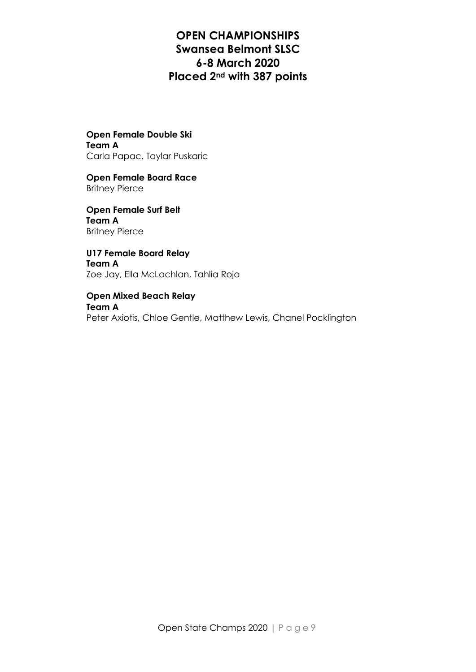**Open Female Double Ski Team A** Carla Papac, Taylar Puskaric

**Open Female Board Race** Britney Pierce

**Open Female Surf Belt Team A** Britney Pierce

**U17 Female Board Relay Team A** Zoe Jay, Ella McLachlan, Tahlia Roja

**Open Mixed Beach Relay Team A** Peter Axiotis, Chloe Gentle, Matthew Lewis, Chanel Pocklington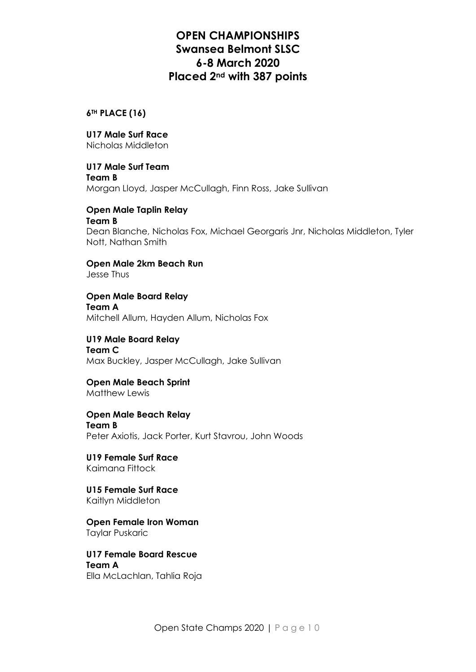**6TH PLACE (16)**

**U17 Male Surf Race** Nicholas Middleton

**U17 Male Surf Team Team B** Morgan Lloyd, Jasper McCullagh, Finn Ross, Jake Sullivan

**Open Male Taplin Relay Team B** Dean Blanche, Nicholas Fox, Michael Georgaris Jnr, Nicholas Middleton, Tyler Nott, Nathan Smith

**Open Male 2km Beach Run** Jesse Thus

**Open Male Board Relay Team A** Mitchell Allum, Hayden Allum, Nicholas Fox

**U19 Male Board Relay Team C** Max Buckley, Jasper McCullagh, Jake Sullivan

**Open Male Beach Sprint** Matthew Lewis

**Open Male Beach Relay Team B** Peter Axiotis, Jack Porter, Kurt Stavrou, John Woods

**U19 Female Surf Race** Kaimana Fittock

**U15 Female Surf Race** Kaitlyn Middleton

**Open Female Iron Woman** Taylar Puskaric

**U17 Female Board Rescue Team A** Ella McLachlan, Tahlia Roja